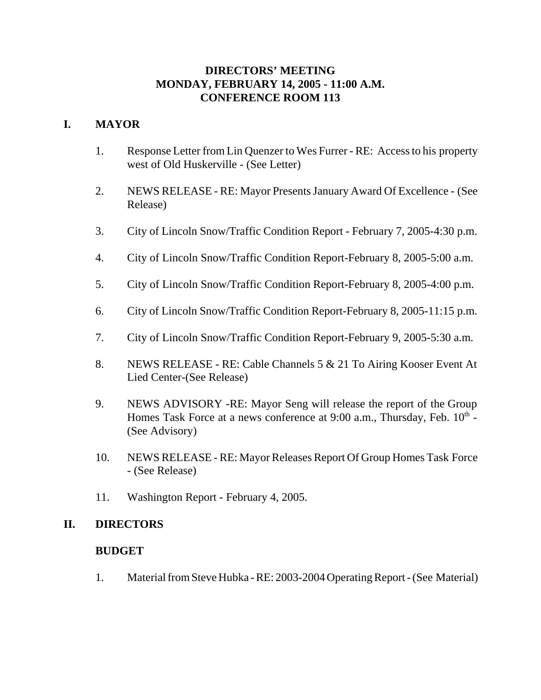## **DIRECTORS' MEETING MONDAY, FEBRUARY 14, 2005 - 11:00 A.M. CONFERENCE ROOM 113**

## **I. MAYOR**

- 1. Response Letter from Lin Quenzer to Wes Furrer RE: Access to his property west of Old Huskerville - (See Letter)
- 2. NEWS RELEASE RE: Mayor Presents January Award Of Excellence (See Release)
- 3. City of Lincoln Snow/Traffic Condition Report February 7, 2005-4:30 p.m.
- 4. City of Lincoln Snow/Traffic Condition Report-February 8, 2005-5:00 a.m.
- 5. City of Lincoln Snow/Traffic Condition Report-February 8, 2005-4:00 p.m.
- 6. City of Lincoln Snow/Traffic Condition Report-February 8, 2005-11:15 p.m.
- 7. City of Lincoln Snow/Traffic Condition Report-February 9, 2005-5:30 a.m.
- 8. NEWS RELEASE RE: Cable Channels 5 & 21 To Airing Kooser Event At Lied Center-(See Release)
- 9. NEWS ADVISORY -RE: Mayor Seng will release the report of the Group Homes Task Force at a news conference at  $9:00$  a.m., Thursday, Feb.  $10^{th}$  -(See Advisory)
- 10. NEWS RELEASE RE: Mayor Releases Report Of Group Homes Task Force - (See Release)
- 11. Washington Report February 4, 2005.

### **II. DIRECTORS**

### **BUDGET**

1. Material from Steve Hubka - RE: 2003-2004 Operating Report - (See Material)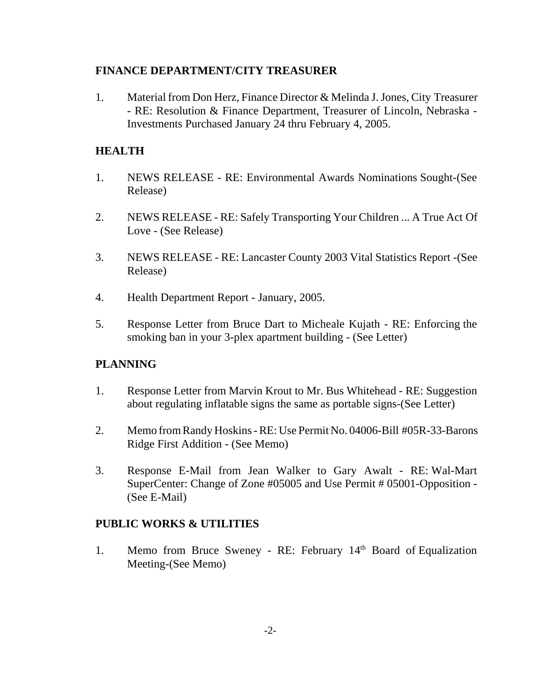### **FINANCE DEPARTMENT/CITY TREASURER**

1. Material from Don Herz, Finance Director & Melinda J. Jones, City Treasurer - RE: Resolution & Finance Department, Treasurer of Lincoln, Nebraska - Investments Purchased January 24 thru February 4, 2005.

#### **HEALTH**

- 1. NEWS RELEASE RE: Environmental Awards Nominations Sought-(See Release)
- 2. NEWS RELEASE RE: Safely Transporting Your Children ... A True Act Of Love - (See Release)
- 3. NEWS RELEASE RE: Lancaster County 2003 Vital Statistics Report -(See Release)
- 4. Health Department Report January, 2005.
- 5. Response Letter from Bruce Dart to Micheale Kujath RE: Enforcing the smoking ban in your 3-plex apartment building - (See Letter)

### **PLANNING**

- 1. Response Letter from Marvin Krout to Mr. Bus Whitehead RE: Suggestion about regulating inflatable signs the same as portable signs-(See Letter)
- 2. Memo from Randy Hoskins RE: Use Permit No. 04006-Bill #05R-33-Barons Ridge First Addition - (See Memo)
- 3. Response E-Mail from Jean Walker to Gary Awalt RE: Wal-Mart SuperCenter: Change of Zone #05005 and Use Permit # 05001-Opposition - (See E-Mail)

### **PUBLIC WORKS & UTILITIES**

1. Memo from Bruce Sweney - RE: February 14<sup>th</sup> Board of Equalization Meeting-(See Memo)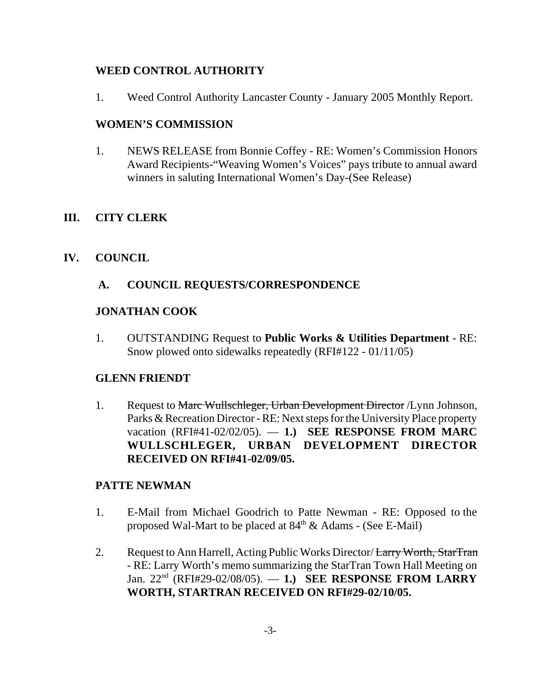## **WEED CONTROL AUTHORITY**

1. Weed Control Authority Lancaster County - January 2005 Monthly Report.

## **WOMEN'S COMMISSION**

1. NEWS RELEASE from Bonnie Coffey - RE: Women's Commission Honors Award Recipients-"Weaving Women's Voices" pays tribute to annual award winners in saluting International Women's Day-(See Release)

## **III. CITY CLERK**

### **IV. COUNCIL**

### **A. COUNCIL REQUESTS/CORRESPONDENCE**

#### **JONATHAN COOK**

1. OUTSTANDING Request to **Public Works & Utilities Department** - RE: Snow plowed onto sidewalks repeatedly (RFI#122 - 01/11/05)

#### **GLENN FRIENDT**

1. Request to Marc Wullschleger, Urban Development Director / Lynn Johnson, Parks & Recreation Director - RE: Next steps for the University Place property vacation (RFI#41-02/02/05). — **1.) SEE RESPONSE FROM MARC WULLSCHLEGER, URBAN DEVELOPMENT DIRECTOR RECEIVED ON RFI#41-02/09/05.**

#### **PATTE NEWMAN**

- 1. E-Mail from Michael Goodrich to Patte Newman RE: Opposed to the proposed Wal-Mart to be placed at  $84<sup>th</sup>$  & Adams - (See E-Mail)
- 2. Request to Ann Harrell, Acting Public Works Director/ Larry Worth, StarTran - RE: Larry Worth's memo summarizing the StarTran Town Hall Meeting on Jan. 22nd (RFI#29-02/08/05). — **1.) SEE RESPONSE FROM LARRY WORTH, STARTRAN RECEIVED ON RFI#29-02/10/05.**